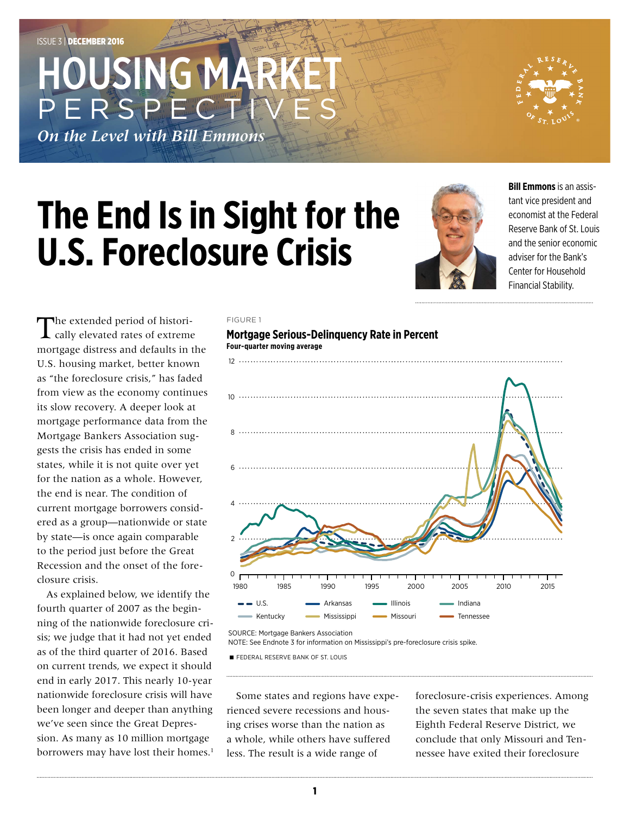## HOUSING MAR PERSPEC

*On the Level with Bill Emmons*



# **The End Is in Sight for the U.S. Foreclosure Crisis**



**Bill Emmons** is an assistant vice president and economist at the Federal Reserve Bank of St. Louis and the senior economic adviser for the Bank's Center for Household Financial Stability.

The extended period of historically elevated rates of extreme mortgage distress and defaults in the U.S. housing market, better known as "the foreclosure crisis," has faded from view as the economy continues its slow recovery. A deeper look at mortgage performance data from the Mortgage Bankers Association suggests the crisis has ended in some states, while it is not quite over yet for the nation as a whole. However, the end is near. The condition of current mortgage borrowers considered as a group—nationwide or state by state—is once again comparable to the period just before the Great Recession and the onset of the foreclosure crisis.

As explained below, we identify the fourth quarter of 2007 as the beginning of the nationwide foreclosure crisis; we judge that it had not yet ended as of the third quarter of 2016. Based on current trends, we expect it should end in early 2017. This nearly 10-year nationwide foreclosure crisis will have been longer and deeper than anything we've seen since the Great Depression. As many as 10 million mortgage borrowers may have lost their homes.<sup>1</sup>

#### FIGURE 1



**FEDERAL RESERVE BANK OF ST. LOUIS** 

Some states and regions have experienced severe recessions and housing crises worse than the nation as a whole, while others have suffered less. The result is a wide range of

foreclosure-crisis experiences. Among the seven states that make up the Eighth Federal Reserve District, we conclude that only Missouri and Tennessee have exited their foreclosure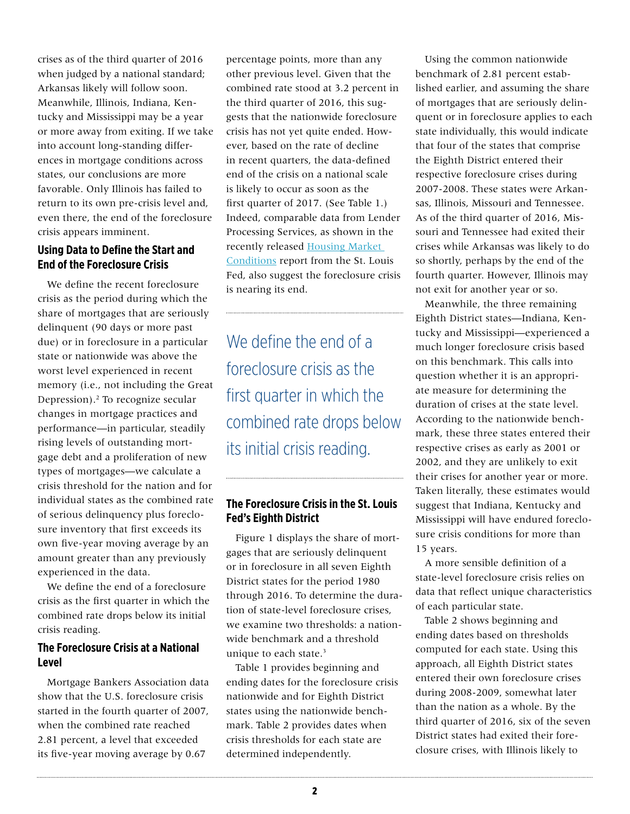crises as of the third quarter of 2016 when judged by a national standard; Arkansas likely will follow soon. Meanwhile, Illinois, Indiana, Kentucky and Mississippi may be a year or more away from exiting. If we take into account long-standing differences in mortgage conditions across states, our conclusions are more favorable. Only Illinois has failed to return to its own pre-crisis level and, even there, the end of the foreclosure crisis appears imminent.

## **Using Data to Define the Start and End of the Foreclosure Crisis**

We define the recent foreclosure crisis as the period during which the share of mortgages that are seriously delinquent (90 days or more past due) or in foreclosure in a particular state or nationwide was above the worst level experienced in recent memory (i.e., not including the Great Depression).2 To recognize secular changes in mortgage practices and performance—in particular, steadily rising levels of outstanding mortgage debt and a proliferation of new types of mortgages—we calculate a crisis threshold for the nation and for individual states as the combined rate of serious delinquency plus foreclosure inventory that first exceeds its own five-year moving average by an amount greater than any previously experienced in the data.

We define the end of a foreclosure crisis as the first quarter in which the combined rate drops below its initial crisis reading.

### **The Foreclosure Crisis at a National Level**

Mortgage Bankers Association data show that the U.S. foreclosure crisis started in the fourth quarter of 2007, when the combined rate reached 2.81 percent, a level that exceeded its five-year moving average by 0.67

percentage points, more than any other previous level. Given that the combined rate stood at 3.2 percent in the third quarter of 2016, this suggests that the nationwide foreclosure crisis has not yet quite ended. However, based on the rate of decline in recent quarters, the data-defined end of the crisis on a national scale is likely to occur as soon as the first quarter of 2017. (See Table 1.) Indeed, comparable data from Lender Processing Services, as shown in the recently released [Housing Market](https://www.stlouisfed.org/community-development/housing-and-foreclosure-resources/housing-market-conditions)  [Conditions](https://www.stlouisfed.org/community-development/housing-and-foreclosure-resources/housing-market-conditions) report from the St. Louis Fed, also suggest the foreclosure crisis is nearing its end.

We define the end of a foreclosure crisis as the first quarter in which the combined rate drops below its initial crisis reading.

## **The Foreclosure Crisis in the St. Louis Fed's Eighth District**

Figure 1 displays the share of mortgages that are seriously delinquent or in foreclosure in all seven Eighth District states for the period 1980 through 2016. To determine the duration of state-level foreclosure crises, we examine two thresholds: a nationwide benchmark and a threshold unique to each state.<sup>3</sup>

Table 1 provides beginning and ending dates for the foreclosure crisis nationwide and for Eighth District states using the nationwide benchmark. Table 2 provides dates when crisis thresholds for each state are determined independently.

Using the common nationwide benchmark of 2.81 percent established earlier, and assuming the share of mortgages that are seriously delinquent or in foreclosure applies to each state individually, this would indicate that four of the states that comprise the Eighth District entered their respective foreclosure crises during 2007-2008. These states were Arkansas, Illinois, Missouri and Tennessee. As of the third quarter of 2016, Missouri and Tennessee had exited their crises while Arkansas was likely to do so shortly, perhaps by the end of the fourth quarter. However, Illinois may not exit for another year or so.

Meanwhile, the three remaining Eighth District states—Indiana, Kentucky and Mississippi—experienced a much longer foreclosure crisis based on this benchmark. This calls into question whether it is an appropriate measure for determining the duration of crises at the state level. According to the nationwide benchmark, these three states entered their respective crises as early as 2001 or 2002, and they are unlikely to exit their crises for another year or more. Taken literally, these estimates would suggest that Indiana, Kentucky and Mississippi will have endured foreclosure crisis conditions for more than 15 years.

A more sensible definition of a state-level foreclosure crisis relies on data that reflect unique characteristics of each particular state.

Table 2 shows beginning and ending dates based on thresholds computed for each state. Using this approach, all Eighth District states entered their own foreclosure crises during 2008-2009, somewhat later than the nation as a whole. By the third quarter of 2016, six of the seven District states had exited their foreclosure crises, with Illinois likely to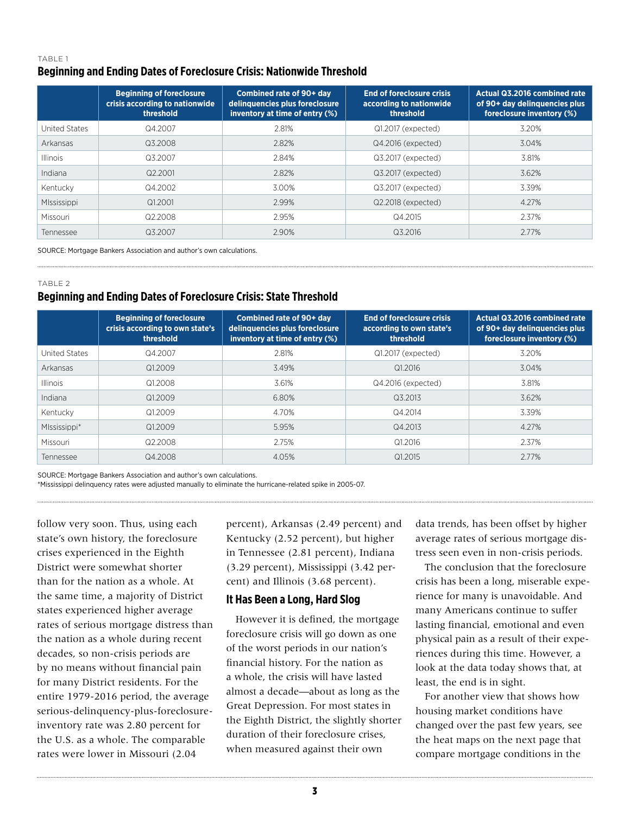#### TABLE 1 **Beginning and Ending Dates of Foreclosure Crisis: Nationwide Threshold**

|                 | <b>Beginning of foreclosure</b><br>crisis according to nationwide<br>threshold | Combined rate of 90+ day<br>delinquencies plus foreclosure<br>inventory at time of entry (%) | <b>End of foreclosure crisis</b><br>according to nationwide<br>threshold | Actual Q3.2016 combined rate<br>of 90+ day delinquencies plus<br>foreclosure inventory (%) |
|-----------------|--------------------------------------------------------------------------------|----------------------------------------------------------------------------------------------|--------------------------------------------------------------------------|--------------------------------------------------------------------------------------------|
| United States   | Q4.2007                                                                        | 2.81%                                                                                        | Q1.2017 (expected)                                                       | 3.20%                                                                                      |
| Arkansas        | Q3.2008                                                                        | 2.82%                                                                                        | Q4.2016 (expected)                                                       | 3.04%                                                                                      |
| <b>Illinois</b> | Q3.2007                                                                        | 2.84%                                                                                        | Q3.2017 (expected)                                                       | 3.81%                                                                                      |
| Indiana         | Q2.2001                                                                        | 2.82%                                                                                        | Q3.2017 (expected)                                                       | 3.62%                                                                                      |
| Kentucky        | Q4.2002                                                                        | 3.00%                                                                                        | Q3.2017 (expected)                                                       | 3.39%                                                                                      |
| MIssissippi     | Q1,2001                                                                        | 2.99%                                                                                        | Q2.2018 (expected)                                                       | 4.27%                                                                                      |
| Missouri        | Q2.2008                                                                        | 2.95%                                                                                        | Q4.2015                                                                  | 2.37%                                                                                      |
| Tennessee       | Q3.2007                                                                        | 2.90%                                                                                        | Q3.2016                                                                  | 2.77%                                                                                      |

SOURCE: Mortgage Bankers Association and author's own calculations.

#### TABLE 2

## **Beginning and Ending Dates of Foreclosure Crisis: State Threshold**

|                 | <b>Beginning of foreclosure</b><br>crisis according to own state's<br>threshold | Combined rate of 90+ day<br>delinquencies plus foreclosure<br>inventory at time of entry (%) | <b>End of foreclosure crisis</b><br>according to own state's<br>threshold | Actual Q3.2016 combined rate<br>of 90+ day delinguencies plus<br>foreclosure inventory (%) |
|-----------------|---------------------------------------------------------------------------------|----------------------------------------------------------------------------------------------|---------------------------------------------------------------------------|--------------------------------------------------------------------------------------------|
| United States   | Q4.2007                                                                         | 2.81%                                                                                        | Q1.2017 (expected)                                                        | 3.20%                                                                                      |
| Arkansas        | Q1.2009                                                                         | 3.49%                                                                                        | Q1.2016                                                                   | 3.04%                                                                                      |
| <b>Illinois</b> | Q1.2008                                                                         | 3.61%                                                                                        | Q4.2016 (expected)                                                        | 3.81%                                                                                      |
| Indiana         | Q1.2009                                                                         | 6.80%                                                                                        | Q3.2013                                                                   | 3.62%                                                                                      |
| Kentucky        | Q1.2009                                                                         | 4.70%                                                                                        | Q4.2014                                                                   | 3.39%                                                                                      |
| MIssissippi*    | Q1.2009                                                                         | 5.95%                                                                                        | Q4.2013                                                                   | 4.27%                                                                                      |
| Missouri        | Q2 2008                                                                         | 2.75%                                                                                        | Q1.2016                                                                   | 2.37%                                                                                      |
| Tennessee       | Q4.2008                                                                         | 4.05%                                                                                        | Q1.2015                                                                   | 2.77%                                                                                      |

SOURCE: Mortgage Bankers Association and author's own calculations.

\*Mississippi delinquency rates were adjusted manually to eliminate the hurricane-related spike in 2005-07.

follow very soon. Thus, using each state's own history, the foreclosure crises experienced in the Eighth District were somewhat shorter than for the nation as a whole. At the same time, a majority of District states experienced higher average rates of serious mortgage distress than the nation as a whole during recent decades, so non-crisis periods are by no means without financial pain for many District residents. For the entire 1979-2016 period, the average serious-delinquency-plus-foreclosureinventory rate was 2.80 percent for the U.S. as a whole. The comparable rates were lower in Missouri (2.04

percent), Arkansas (2.49 percent) and Kentucky (2.52 percent), but higher in Tennessee (2.81 percent), Indiana (3.29 percent), Mississippi (3.42 percent) and Illinois (3.68 percent).

#### **It Has Been a Long, Hard Slog**

However it is defined, the mortgage foreclosure crisis will go down as one of the worst periods in our nation's financial history. For the nation as a whole, the crisis will have lasted almost a decade—about as long as the Great Depression. For most states in the Eighth District, the slightly shorter duration of their foreclosure crises, when measured against their own

data trends, has been offset by higher average rates of serious mortgage distress seen even in non-crisis periods.

The conclusion that the foreclosure crisis has been a long, miserable experience for many is unavoidable. And many Americans continue to suffer lasting financial, emotional and even physical pain as a result of their experiences during this time. However, a look at the data today shows that, at least, the end is in sight.

For another view that shows how housing market conditions have changed over the past few years, see the heat maps on the next page that compare mortgage conditions in the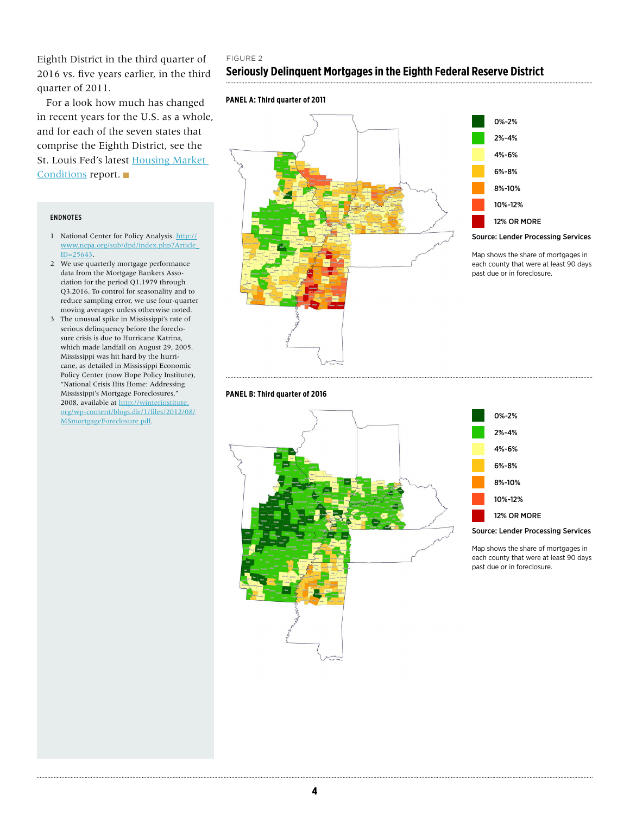Eighth District in the third quarter of 2016 vs. five years earlier, in the third quarter of 2011.

For a look how much has changed in recent years for the U.S. as a whole, and for each of the seven states that comprise the Eighth District, see the St. Louis Fed's latest Housing Market [Conditions](https://www.stlouisfed.org/community-development/housing-and-foreclosure-resources/housing-market-conditions) report.

#### ENDNOTES

- 1 National Center for Policy Analysis. [http://](http://www.ncpa.org/sub/dpd/index.php?Article_ID=25643) [www.ncpa.org/sub/dpd/index.php?Article\\_](http://www.ncpa.org/sub/dpd/index.php?Article_ID=25643)  $ID = 25643.$
- 2 We use quarterly mortgage performance data from the Mortgage Bankers Association for the period Q1.1979 through Q3.2016. To control for seasonality and to reduce sampling error, we use four-quarter moving averages unless otherwise noted.
- 3 The unusual spike in Mississippi's rate of serious delinquency before the foreclosure crisis is due to Hurricane Katrina, which made landfall on August 29, 2005. Mississippi was hit hard by the hurricane, as detailed in Mississippi Economic Policy Center (now Hope Policy Institute), "National Crisis Hits Home: Addressing Mississippi's Mortgage Foreclosures," 2008, available at [http://winterinstitute.](http://winterinstitute.org/wp-content/blogs.dir/1/files/2012/08/MSmortgageForeclosure.pdf) [org/wp-content/blogs.dir/1/files/2012/08/](http://winterinstitute.org/wp-content/blogs.dir/1/files/2012/08/MSmortgageForeclosure.pdf) [MSmortgageForeclosure.pdf.](http://winterinstitute.org/wp-content/blogs.dir/1/files/2012/08/MSmortgageForeclosure.pdf)

### FIGURE 2 **Seriously Delinquent Mortgages in the Eighth Federal Reserve District**

#### **PANEL A: Third quarter of 2011**



#### **PANEL B: Third quarter of 2016**





Map shows the share of mortgages in each county that were at least 90 days past due or in foreclosure.





Map shows the share of mortgages in each county that were at least 90 days past due or in foreclosure.